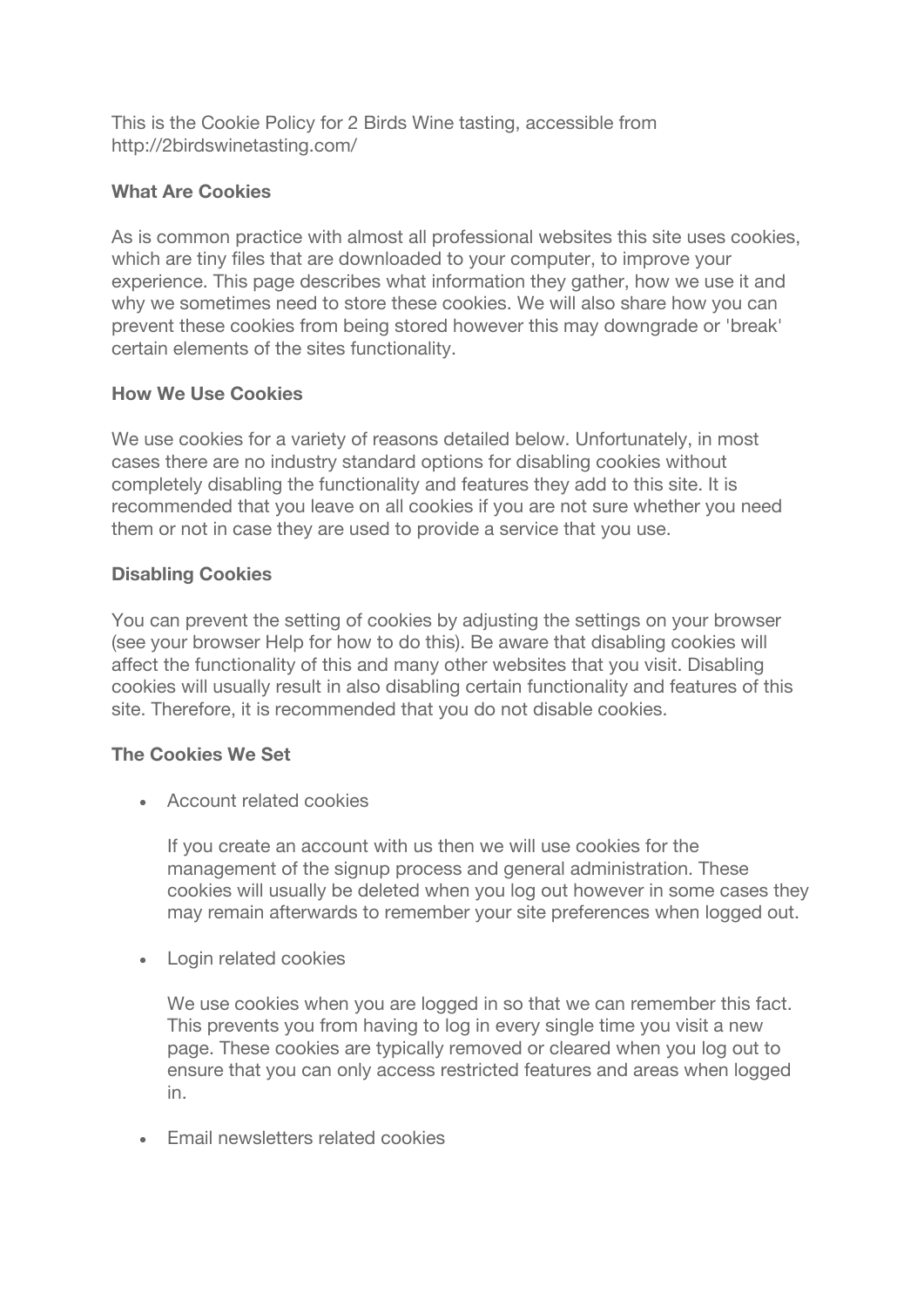This is the Cookie Policy for 2 Birds Wine tasting, accessible from http://2birdswinetasting.com/

#### **What Are Cookies**

As is common practice with almost all professional websites this site uses cookies, which are tiny files that are downloaded to your computer, to improve your experience. This page describes what information they gather, how we use it and why we sometimes need to store these cookies. We will also share how you can prevent these cookies from being stored however this may downgrade or 'break' certain elements of the sites functionality.

# **How We Use Cookies**

We use cookies for a variety of reasons detailed below. Unfortunately, in most cases there are no industry standard options for disabling cookies without completely disabling the functionality and features they add to this site. It is recommended that you leave on all cookies if you are not sure whether you need them or not in case they are used to provide a service that you use.

# **Disabling Cookies**

You can prevent the setting of cookies by adjusting the settings on your browser (see your browser Help for how to do this). Be aware that disabling cookies will affect the functionality of this and many other websites that you visit. Disabling cookies will usually result in also disabling certain functionality and features of this site. Therefore, it is recommended that you do not disable cookies.

# **The Cookies We Set**

• Account related cookies

If you create an account with us then we will use cookies for the management of the signup process and general administration. These cookies will usually be deleted when you log out however in some cases they may remain afterwards to remember your site preferences when logged out.

• Login related cookies

We use cookies when you are logged in so that we can remember this fact. This prevents you from having to log in every single time you visit a new page. These cookies are typically removed or cleared when you log out to ensure that you can only access restricted features and areas when logged in.

• Email newsletters related cookies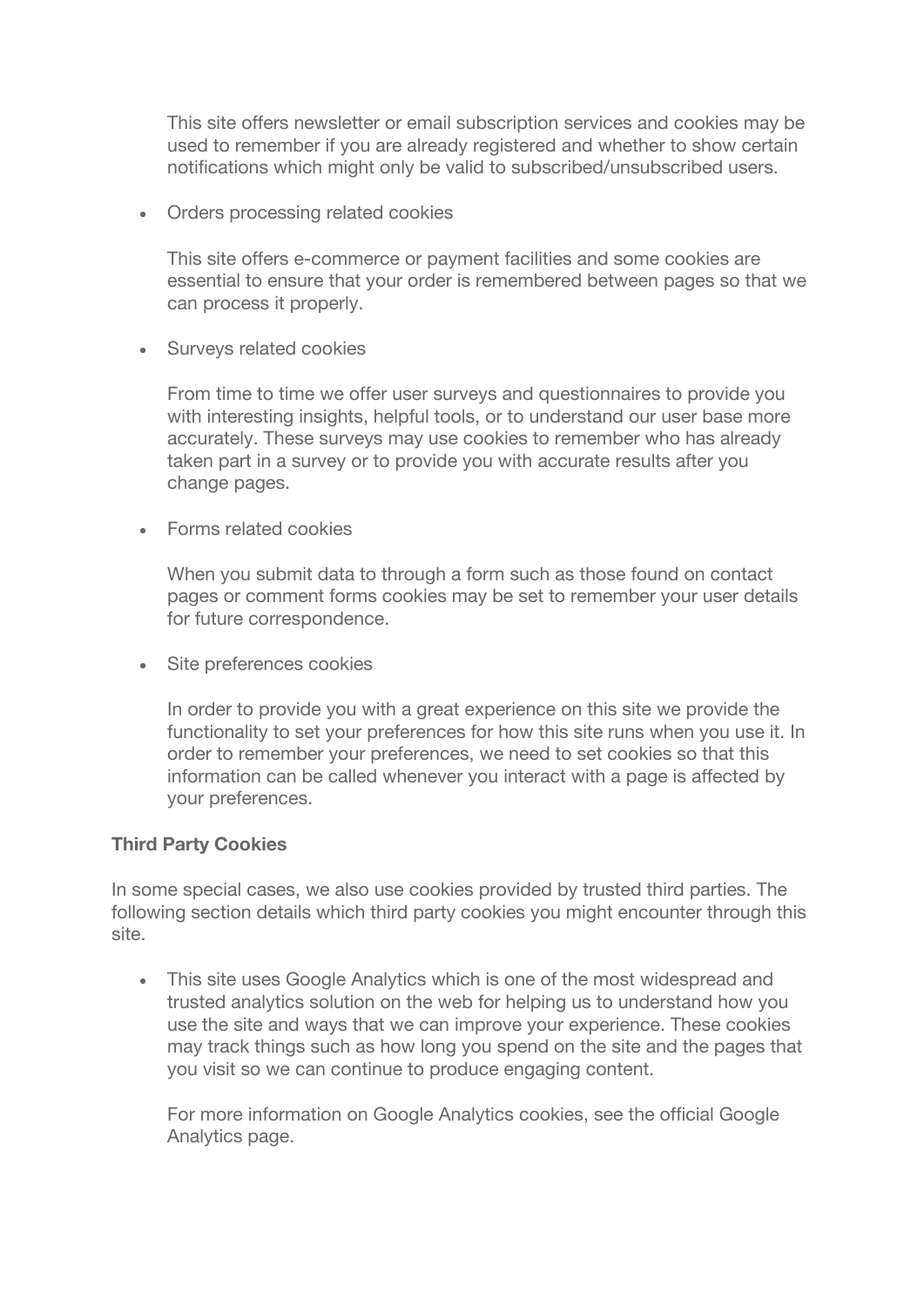This site offers newsletter or email subscription services and cookies may be used to remember if you are already registered and whether to show certain notifications which might only be valid to subscribed/unsubscribed users.

• Orders processing related cookies

This site offers e-commerce or payment facilities and some cookies are essential to ensure that your order is remembered between pages so that we can process it properly.

• Surveys related cookies

From time to time we offer user surveys and questionnaires to provide you with interesting insights, helpful tools, or to understand our user base more accurately. These surveys may use cookies to remember who has already taken part in a survey or to provide you with accurate results after you change pages.

• Forms related cookies

When you submit data to through a form such as those found on contact pages or comment forms cookies may be set to remember your user details for future correspondence.

• Site preferences cookies

In order to provide you with a great experience on this site we provide the functionality to set your preferences for how this site runs when you use it. In order to remember your preferences, we need to set cookies so that this information can be called whenever you interact with a page is affected by your preferences.

#### **Third Party Cookies**

In some special cases, we also use cookies provided by trusted third parties. The following section details which third party cookies you might encounter through this site.

• This site uses Google Analytics which is one of the most widespread and trusted analytics solution on the web for helping us to understand how you use the site and ways that we can improve your experience. These cookies may track things such as how long you spend on the site and the pages that you visit so we can continue to produce engaging content.

For more information on Google Analytics cookies, see the official Google Analytics page.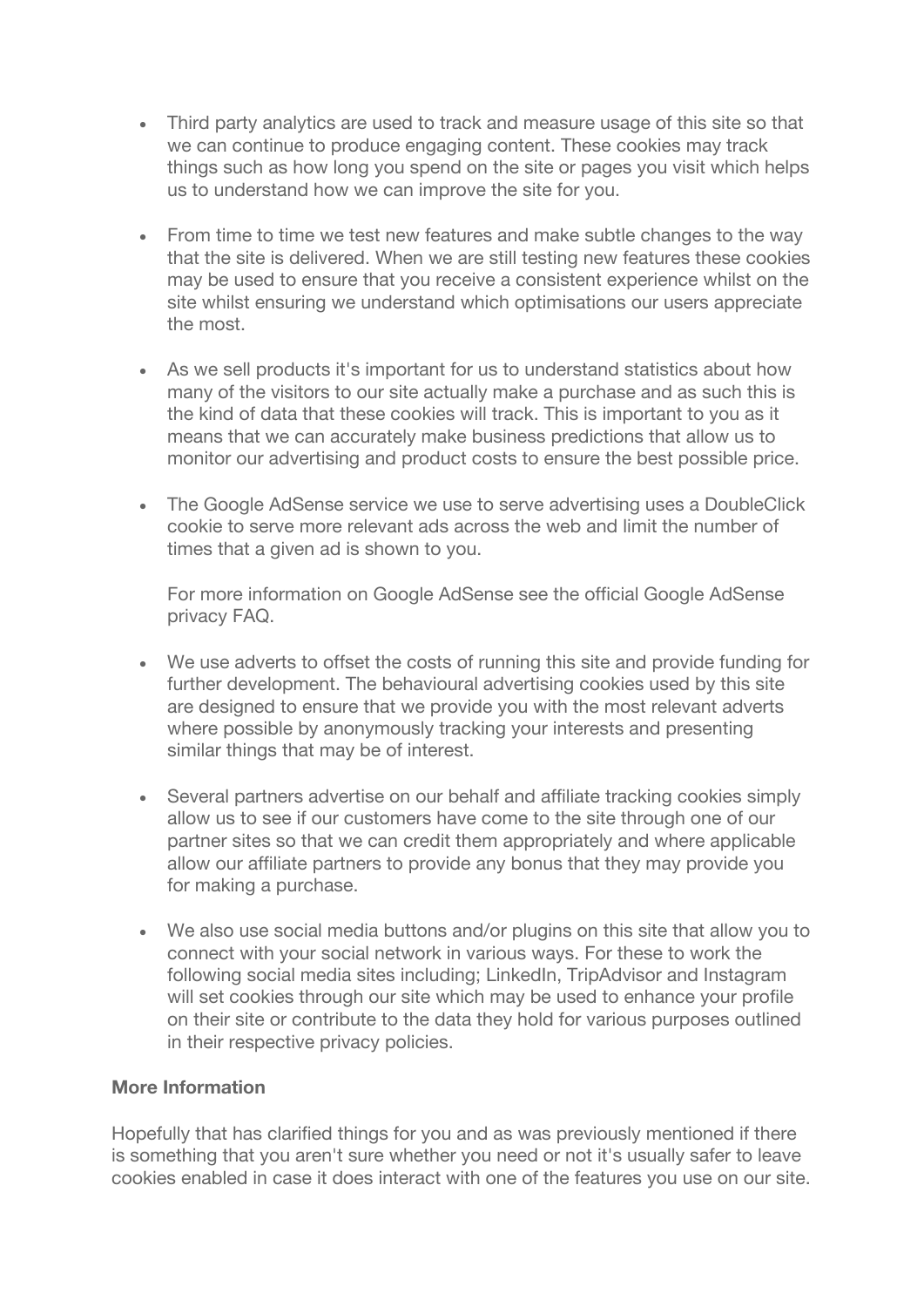- Third party analytics are used to track and measure usage of this site so that we can continue to produce engaging content. These cookies may track things such as how long you spend on the site or pages you visit which helps us to understand how we can improve the site for you.
- From time to time we test new features and make subtle changes to the way that the site is delivered. When we are still testing new features these cookies may be used to ensure that you receive a consistent experience whilst on the site whilst ensuring we understand which optimisations our users appreciate the most.
- As we sell products it's important for us to understand statistics about how many of the visitors to our site actually make a purchase and as such this is the kind of data that these cookies will track. This is important to you as it means that we can accurately make business predictions that allow us to monitor our advertising and product costs to ensure the best possible price.
- The Google AdSense service we use to serve advertising uses a DoubleClick cookie to serve more relevant ads across the web and limit the number of times that a given ad is shown to you.

For more information on Google AdSense see the official Google AdSense privacy FAQ.

- We use adverts to offset the costs of running this site and provide funding for further development. The behavioural advertising cookies used by this site are designed to ensure that we provide you with the most relevant adverts where possible by anonymously tracking your interests and presenting similar things that may be of interest.
- Several partners advertise on our behalf and affiliate tracking cookies simply allow us to see if our customers have come to the site through one of our partner sites so that we can credit them appropriately and where applicable allow our affiliate partners to provide any bonus that they may provide you for making a purchase.
- We also use social media buttons and/or plugins on this site that allow you to connect with your social network in various ways. For these to work the following social media sites including; LinkedIn, TripAdvisor and Instagram will set cookies through our site which may be used to enhance your profile on their site or contribute to the data they hold for various purposes outlined in their respective privacy policies.

#### **More Information**

Hopefully that has clarified things for you and as was previously mentioned if there is something that you aren't sure whether you need or not it's usually safer to leave cookies enabled in case it does interact with one of the features you use on our site.